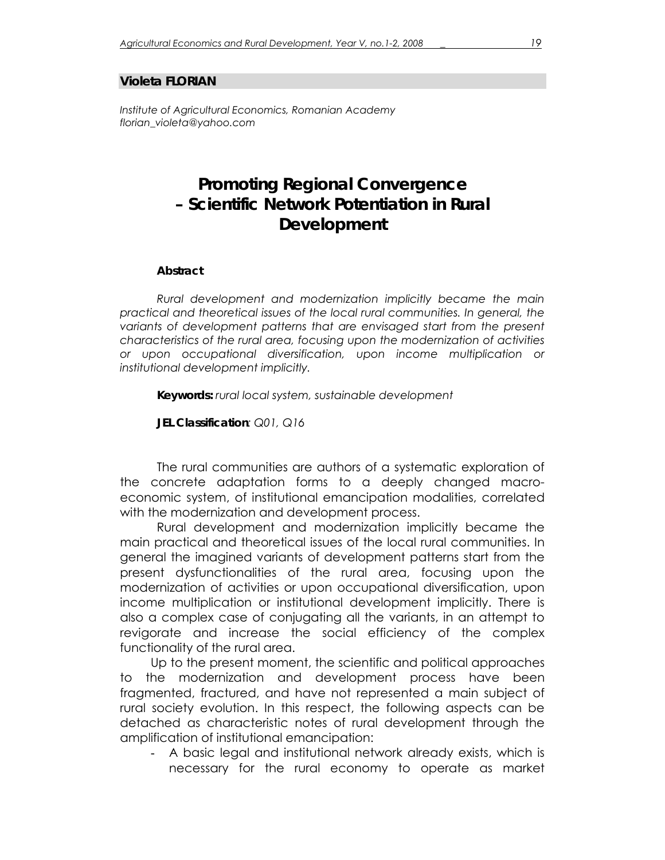## **Violeta FLORIAN**

*Institute of Agricultural Economics, Romanian Academy florian\_violeta@yahoo.com* 

## **Promoting Regional Convergence – Scientific Network Potentiation in Rural Development**

## *Abstract*

*Rural development and modernization implicitly became the main practical and theoretical issues of the local rural communities. In general, the variants of development patterns that are envisaged start from the present characteristics of the rural area, focusing upon the modernization of activities or upon occupational diversification, upon income multiplication or institutional development implicitly.* 

*Keywords: rural local system, sustainable development* 

*JEL Classification: Q01, Q16* 

The rural communities are authors of a systematic exploration of the concrete adaptation forms to a deeply changed macroeconomic system, of institutional emancipation modalities, correlated with the modernization and development process.

Rural development and modernization implicitly became the main practical and theoretical issues of the local rural communities. In general the imagined variants of development patterns start from the present dysfunctionalities of the rural area, focusing upon the modernization of activities or upon occupational diversification, upon income multiplication or institutional development implicitly. There is also a complex case of conjugating all the variants, in an attempt to revigorate and increase the social efficiency of the complex functionality of the rural area.

Up to the present moment, the scientific and political approaches to the modernization and development process have been fragmented, fractured, and have not represented a main subject of rural society evolution. In this respect, the following aspects can be detached as characteristic notes of rural development through the amplification of institutional emancipation:

- A basic legal and institutional network already exists, which is necessary for the rural economy to operate as market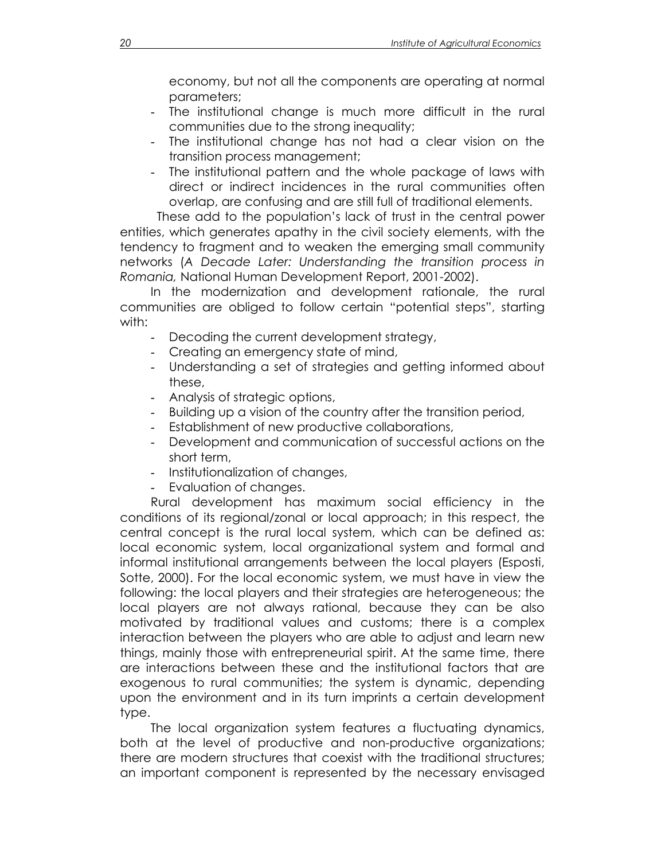economy, but not all the components are operating at normal parameters;

- The institutional change is much more difficult in the rural communities due to the strong inequality;
- The institutional change has not had a clear vision on the transition process management;
- The institutional pattern and the whole package of laws with direct or indirect incidences in the rural communities often overlap, are confusing and are still full of traditional elements.

These add to the population's lack of trust in the central power entities, which generates apathy in the civil society elements, with the tendency to fragment and to weaken the emerging small community networks (*A Decade Later: Understanding the transition process in Romania,* National Human Development Report, 2001-2002).

In the modernization and development rationale, the rural communities are obliged to follow certain "potential steps", starting with:

- Decoding the current development strategy,
- Creating an emergency state of mind,
- Understanding a set of strategies and getting informed about these,
- Analysis of strategic options,
- Building up a vision of the country after the transition period,
- Establishment of new productive collaborations,
- Development and communication of successful actions on the short term,
- Institutionalization of changes,
- Evaluation of changes.

Rural development has maximum social efficiency in the conditions of its regional/zonal or local approach; in this respect, the central concept is the rural local system, which can be defined as: local economic system, local organizational system and formal and informal institutional arrangements between the local players (Esposti, Sotte, 2000). For the local economic system, we must have in view the following: the local players and their strategies are heterogeneous; the local players are not always rational, because they can be also motivated by traditional values and customs; there is a complex interaction between the players who are able to adjust and learn new things, mainly those with entrepreneurial spirit. At the same time, there are interactions between these and the institutional factors that are exogenous to rural communities; the system is dynamic, depending upon the environment and in its turn imprints a certain development type.

The local organization system features a fluctuating dynamics, both at the level of productive and non-productive organizations; there are modern structures that coexist with the traditional structures; an important component is represented by the necessary envisaged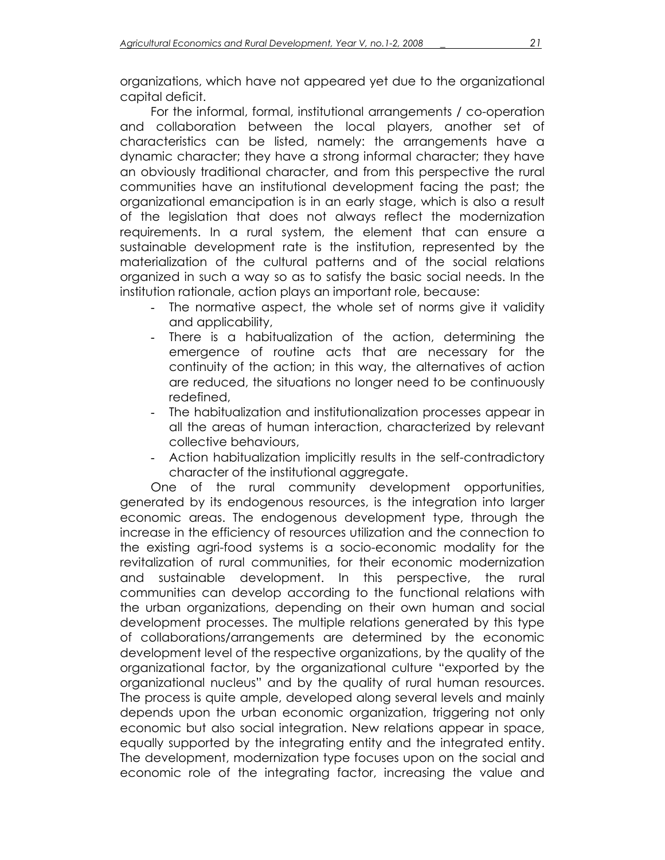organizations, which have not appeared yet due to the organizational capital deficit.

For the informal, formal, institutional arrangements / co-operation and collaboration between the local players, another set of characteristics can be listed, namely: the arrangements have a dynamic character; they have a strong informal character; they have an obviously traditional character, and from this perspective the rural communities have an institutional development facing the past; the organizational emancipation is in an early stage, which is also a result of the legislation that does not always reflect the modernization requirements. In a rural system, the element that can ensure a sustainable development rate is the institution, represented by the materialization of the cultural patterns and of the social relations organized in such a way so as to satisfy the basic social needs. In the institution rationale, action plays an important role, because:

- The normative aspect, the whole set of norms give it validity and applicability,
- There is a habitualization of the action, determining the emergence of routine acts that are necessary for the continuity of the action; in this way, the alternatives of action are reduced, the situations no longer need to be continuously redefined,
- The habitualization and institutionalization processes appear in all the areas of human interaction, characterized by relevant collective behaviours,
- Action habitualization implicitly results in the self-contradictory character of the institutional aggregate.

One of the rural community development opportunities, generated by its endogenous resources, is the integration into larger economic areas. The endogenous development type, through the increase in the efficiency of resources utilization and the connection to the existing agri-food systems is a socio-economic modality for the revitalization of rural communities, for their economic modernization and sustainable development. In this perspective, the rural communities can develop according to the functional relations with the urban organizations, depending on their own human and social development processes. The multiple relations generated by this type of collaborations/arrangements are determined by the economic development level of the respective organizations, by the quality of the organizational factor, by the organizational culture "exported by the organizational nucleus" and by the quality of rural human resources. The process is quite ample, developed along several levels and mainly depends upon the urban economic organization, triggering not only economic but also social integration. New relations appear in space, equally supported by the integrating entity and the integrated entity. The development, modernization type focuses upon on the social and economic role of the integrating factor, increasing the value and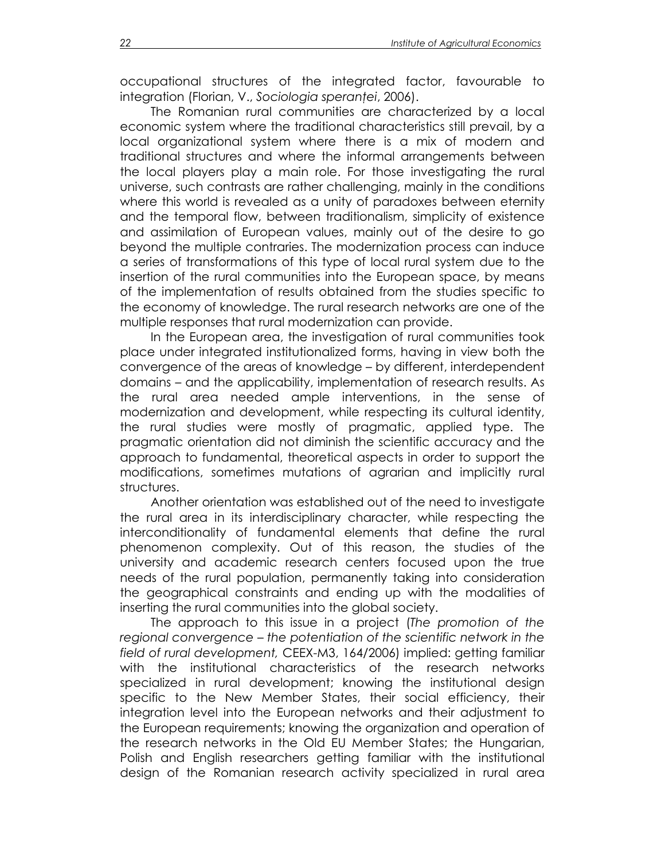occupational structures of the integrated factor, favourable to integration (Florian, V., *Sociologia speranţei*, 2006).

The Romanian rural communities are characterized by a local economic system where the traditional characteristics still prevail, by a local organizational system where there is a mix of modern and traditional structures and where the informal arrangements between the local players play a main role. For those investigating the rural universe, such contrasts are rather challenging, mainly in the conditions where this world is revealed as a unity of paradoxes between eternity and the temporal flow, between traditionalism, simplicity of existence and assimilation of European values, mainly out of the desire to go beyond the multiple contraries. The modernization process can induce a series of transformations of this type of local rural system due to the insertion of the rural communities into the European space, by means of the implementation of results obtained from the studies specific to the economy of knowledge. The rural research networks are one of the multiple responses that rural modernization can provide.

In the European area, the investigation of rural communities took place under integrated institutionalized forms, having in view both the convergence of the areas of knowledge – by different, interdependent domains – and the applicability, implementation of research results. As the rural area needed ample interventions, in the sense of modernization and development, while respecting its cultural identity, the rural studies were mostly of pragmatic, applied type. The pragmatic orientation did not diminish the scientific accuracy and the approach to fundamental, theoretical aspects in order to support the modifications, sometimes mutations of agrarian and implicitly rural structures.

Another orientation was established out of the need to investigate the rural area in its interdisciplinary character, while respecting the interconditionality of fundamental elements that define the rural phenomenon complexity. Out of this reason, the studies of the university and academic research centers focused upon the true needs of the rural population, permanently taking into consideration the geographical constraints and ending up with the modalities of inserting the rural communities into the global society.

The approach to this issue in a project (*The promotion of the regional convergence – the potentiation of the scientific network in the field of rural development,* CEEX-M3, 164/2006) implied: getting familiar with the institutional characteristics of the research networks specialized in rural development; knowing the institutional design specific to the New Member States, their social efficiency, their integration level into the European networks and their adjustment to the European requirements; knowing the organization and operation of the research networks in the Old EU Member States; the Hungarian, Polish and English researchers getting familiar with the institutional design of the Romanian research activity specialized in rural area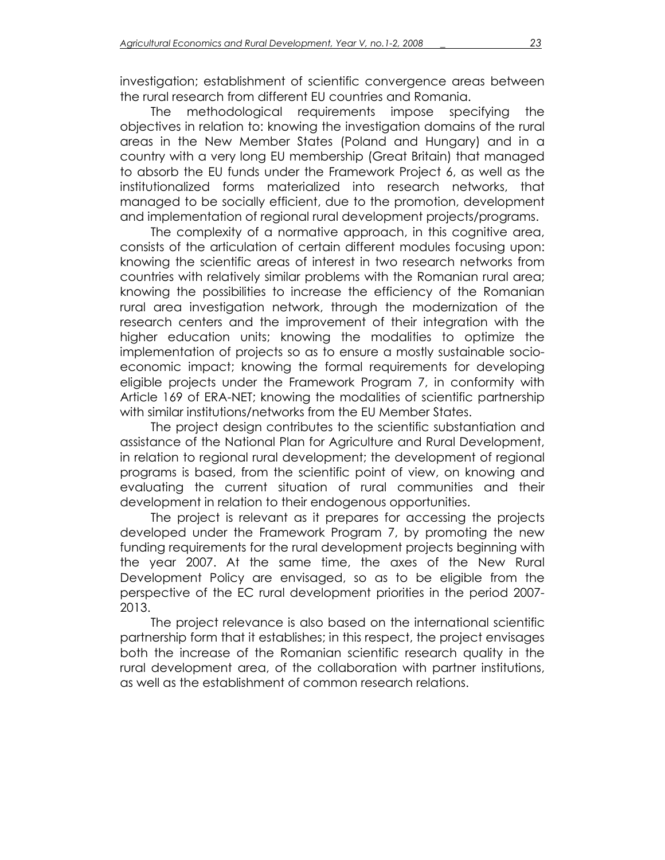investigation; establishment of scientific convergence areas between the rural research from different EU countries and Romania.

The methodological requirements impose specifying the objectives in relation to: knowing the investigation domains of the rural areas in the New Member States (Poland and Hungary) and in a country with a very long EU membership (Great Britain) that managed to absorb the EU funds under the Framework Project 6, as well as the institutionalized forms materialized into research networks, that managed to be socially efficient, due to the promotion, development and implementation of regional rural development projects/programs.

The complexity of a normative approach, in this cognitive area, consists of the articulation of certain different modules focusing upon: knowing the scientific areas of interest in two research networks from countries with relatively similar problems with the Romanian rural area; knowing the possibilities to increase the efficiency of the Romanian rural area investigation network, through the modernization of the research centers and the improvement of their integration with the higher education units; knowing the modalities to optimize the implementation of projects so as to ensure a mostly sustainable socioeconomic impact; knowing the formal requirements for developing eligible projects under the Framework Program 7, in conformity with Article 169 of ERA-NET; knowing the modalities of scientific partnership with similar institutions/networks from the EU Member States.

The project design contributes to the scientific substantiation and assistance of the National Plan for Agriculture and Rural Development, in relation to regional rural development; the development of regional programs is based, from the scientific point of view, on knowing and evaluating the current situation of rural communities and their development in relation to their endogenous opportunities.

The project is relevant as it prepares for accessing the projects developed under the Framework Program 7, by promoting the new funding requirements for the rural development projects beginning with the year 2007. At the same time, the axes of the New Rural Development Policy are envisaged, so as to be eligible from the perspective of the EC rural development priorities in the period 2007- 2013.

The project relevance is also based on the international scientific partnership form that it establishes; in this respect, the project envisages both the increase of the Romanian scientific research quality in the rural development area, of the collaboration with partner institutions, as well as the establishment of common research relations.